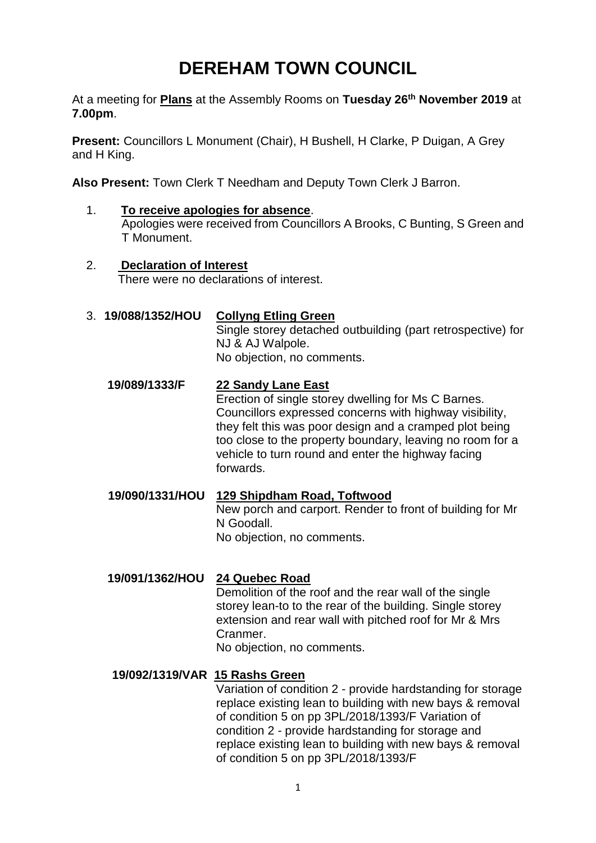## **DEREHAM TOWN COUNCIL**

At a meeting for **Plans** at the Assembly Rooms on **Tuesday 26th November 2019** at **7.00pm**.

**Present:** Councillors L Monument (Chair), H Bushell, H Clarke, P Duigan, A Grey and H King.

**Also Present:** Town Clerk T Needham and Deputy Town Clerk J Barron.

- 1. **To receive apologies for absence**. Apologies were received from Councillors A Brooks, C Bunting, S Green and T Monument.
- 2. **Declaration of Interest** There were no declarations of interest.
- 3. **19/088/1352/HOU Collyng Etling Green**

Single storey detached outbuilding (part retrospective) for NJ & AJ Walpole. No objection, no comments.

**19/089/1333/F 22 Sandy Lane East**

Erection of single storey dwelling for Ms C Barnes. Councillors expressed concerns with highway visibility, they felt this was poor design and a cramped plot being too close to the property boundary, leaving no room for a vehicle to turn round and enter the highway facing forwards.

**19/090/1331/HOU 129 Shipdham Road, Toftwood** New porch and carport. Render to front of building for Mr N Goodall. No objection, no comments.

## **19/091/1362/HOU 24 Quebec Road**

Demolition of the roof and the rear wall of the single storey lean-to to the rear of the building. Single storey extension and rear wall with pitched roof for Mr & Mrs Cranmer.

No objection, no comments.

## **19/092/1319/VAR 15 Rashs Green**

Variation of condition 2 - provide hardstanding for storage replace existing lean to building with new bays & removal of condition 5 on pp 3PL/2018/1393/F Variation of condition 2 - provide hardstanding for storage and replace existing lean to building with new bays & removal of condition 5 on pp 3PL/2018/1393/F